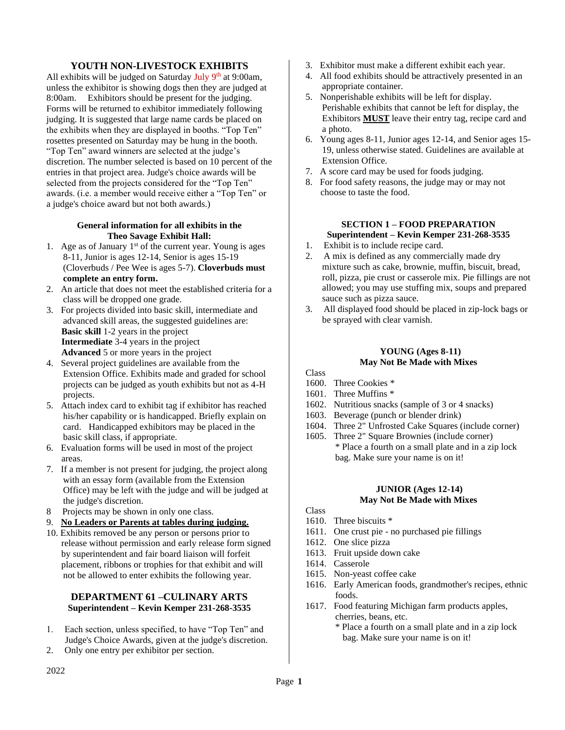# **YOUTH NON-LIVESTOCK EXHIBITS**

All exhibits will be judged on Saturday July 9<sup>th</sup> at 9:00am, unless the exhibitor is showing dogs then they are judged at 8:00am. Exhibitors should be present for the judging. Forms will be returned to exhibitor immediately following judging. It is suggested that large name cards be placed on the exhibits when they are displayed in booths. "Top Ten" rosettes presented on Saturday may be hung in the booth. "Top Ten" award winners are selected at the judge's discretion. The number selected is based on 10 percent of the entries in that project area. Judge's choice awards will be selected from the projects considered for the "Top Ten" awards. (i.e. a member would receive either a "Top Ten" or a judge's choice award but not both awards.)

### **General information for all exhibits in the Theo Savage Exhibit Hall:**

- 1. Age as of January  $1<sup>st</sup>$  of the current year. Young is ages 8-11, Junior is ages 12-14, Senior is ages 15-19 (Cloverbuds / Pee Wee is ages 5-7). **Cloverbuds must complete an entry form.**
- 2. An article that does not meet the established criteria for a class will be dropped one grade.
- 3. For projects divided into basic skill, intermediate and advanced skill areas, the suggested guidelines are: **Basic skill** 1-2 years in the project **Intermediate** 3-4 years in the project **Advanced** 5 or more years in the project
- 4. Several project guidelines are available from the Extension Office. Exhibits made and graded for school projects can be judged as youth exhibits but not as 4-H projects.
- 5. Attach index card to exhibit tag if exhibitor has reached his/her capability or is handicapped. Briefly explain on card. Handicapped exhibitors may be placed in the basic skill class, if appropriate.
- 6. Evaluation forms will be used in most of the project areas.
- 7. If a member is not present for judging, the project along with an essay form (available from the Extension Office) may be left with the judge and will be judged at the judge's discretion.
- 8 Projects may be shown in only one class.
- 9. **No Leaders or Parents at tables during judging.**
- 10. Exhibits removed be any person or persons prior to release without permission and early release form signed by superintendent and fair board liaison will forfeit placement, ribbons or trophies for that exhibit and will not be allowed to enter exhibits the following year.

# **DEPARTMENT 61 –CULINARY ARTS Superintendent – Kevin Kemper 231-268-3535**

- 1. Each section, unless specified, to have "Top Ten" and Judge's Choice Awards, given at the judge's discretion.
- 2. Only one entry per exhibitor per section.
- 3. Exhibitor must make a different exhibit each year.
- 4. All food exhibits should be attractively presented in an appropriate container.
- 5. Nonperishable exhibits will be left for display. Perishable exhibits that cannot be left for display, the Exhibitors **MUST** leave their entry tag, recipe card and a photo.
- 6. Young ages 8-11, Junior ages 12-14, and Senior ages 15- 19, unless otherwise stated. Guidelines are available at Extension Office.
- 7. A score card may be used for foods judging.
- 8. For food safety reasons, the judge may or may not choose to taste the food.

# **SECTION 1 – FOOD PREPARATION Superintendent – Kevin Kemper 231-268-3535**

- 1. Exhibit is to include recipe card.
- 2. A mix is defined as any commercially made dry mixture such as cake, brownie, muffin, biscuit, bread, roll, pizza, pie crust or casserole mix. Pie fillings are not allowed; you may use stuffing mix, soups and prepared sauce such as pizza sauce.
- 3. All displayed food should be placed in zip-lock bags or be sprayed with clear varnish.

# **YOUNG (Ages 8-11) May Not Be Made with Mixes**

- Class
- 1600. Three Cookies \*
- 1601. Three Muffins \*
- 1602. Nutritious snacks (sample of 3 or 4 snacks)
- 1603. Beverage (punch or blender drink)
- 1604. Three 2" Unfrosted Cake Squares (include corner)
- 1605. Three 2" Square Brownies (include corner) \* Place a fourth on a small plate and in a zip lock bag. Make sure your name is on it!

# **JUNIOR (Ages 12-14) May Not Be Made with Mixes**

- Class
- 1610. Three biscuits \*
- 1611. One crust pie no purchased pie fillings
- 1612. One slice pizza
- 1613. Fruit upside down cake
- 1614. Casserole
- 1615. Non-yeast coffee cake
- 1616. Early American foods, grandmother's recipes, ethnic foods.
- 1617. Food featuring Michigan farm products apples, cherries, beans, etc.
	- \* Place a fourth on a small plate and in a zip lock bag. Make sure your name is on it!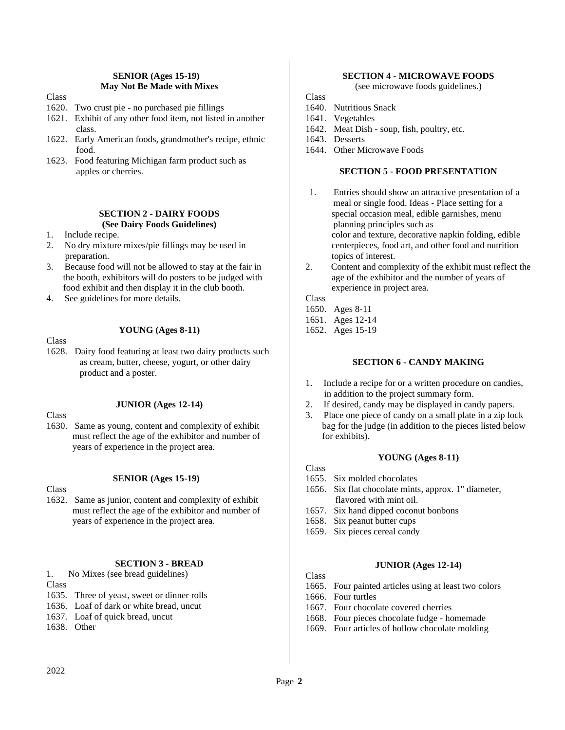### **SENIOR (Ages 15-19) May Not Be Made with Mixes**

Class

- 1620. Two crust pie no purchased pie fillings
- 1621. Exhibit of any other food item, not listed in another class.
- 1622. Early American foods, grandmother's recipe, ethnic food.
- 1623. Food featuring Michigan farm product such as apples or cherries.

### **SECTION 2 - DAIRY FOODS (See Dairy Foods Guidelines)**

- 1. Include recipe.
- 2. No dry mixture mixes/pie fillings may be used in preparation.
- 3. Because food will not be allowed to stay at the fair in the booth, exhibitors will do posters to be judged with food exhibit and then display it in the club booth.
- 4. See guidelines for more details.

### **YOUNG (Ages 8-11)**

Class

1628. Dairy food featuring at least two dairy products such as cream, butter, cheese, yogurt, or other dairy product and a poster.

Class

- **JUNIOR (Ages 12-14)**
- 1630. Same as young, content and complexity of exhibit must reflect the age of the exhibitor and number of years of experience in the project area.

### **SENIOR (Ages 15-19)**

**Class** 

1632. Same as junior, content and complexity of exhibit must reflect the age of the exhibitor and number of years of experience in the project area.

# **SECTION 3 - BREAD**

1. No Mixes (see bread guidelines) Class

- 1635. Three of yeast, sweet or dinner rolls
- 1636. Loaf of dark or white bread, uncut
- 1637. Loaf of quick bread, uncut
- 1638. Other

# **SECTION 4 - MICROWAVE FOODS**

(see microwave foods guidelines.)

Class

- 1640. Nutritious Snack
- 1641. Vegetables
- 1642. Meat Dish soup, fish, poultry, etc.
- 1643. Desserts
- 1644. Other Microwave Foods

### **SECTION 5 - FOOD PRESENTATION**

- 1. Entries should show an attractive presentation of a meal or single food. Ideas - Place setting for a special occasion meal, edible garnishes, menu planning principles such as color and texture, decorative napkin folding, edible centerpieces, food art, and other food and nutrition topics of interest.
- 2. Content and complexity of the exhibit must reflect the age of the exhibitor and the number of years of experience in project area.

Class

- 1650. Ages 8-11
- 1651. Ages 12-14
- 1652. Ages 15-19

### **SECTION 6 - CANDY MAKING**

- 1. Include a recipe for or a written procedure on candies, in addition to the project summary form.
- 2. If desired, candy may be displayed in candy papers.
- 3. Place one piece of candy on a small plate in a zip lock bag for the judge (in addition to the pieces listed below for exhibits).

- **YOUNG (Ages 8-11)**
- Class
- 1655. Six molded chocolates
- 1656. Six flat chocolate mints, approx. 1" diameter, flavored with mint oil.
- 1657. Six hand dipped coconut bonbons
- 1658. Six peanut butter cups
- 1659. Six pieces cereal candy

### **JUNIOR (Ages 12-14)**

- 1665. Four painted articles using at least two colors
- 1666. Four turtles
- 1667. Four chocolate covered cherries
- 1668. Four pieces chocolate fudge homemade
- 1669. Four articles of hollow chocolate molding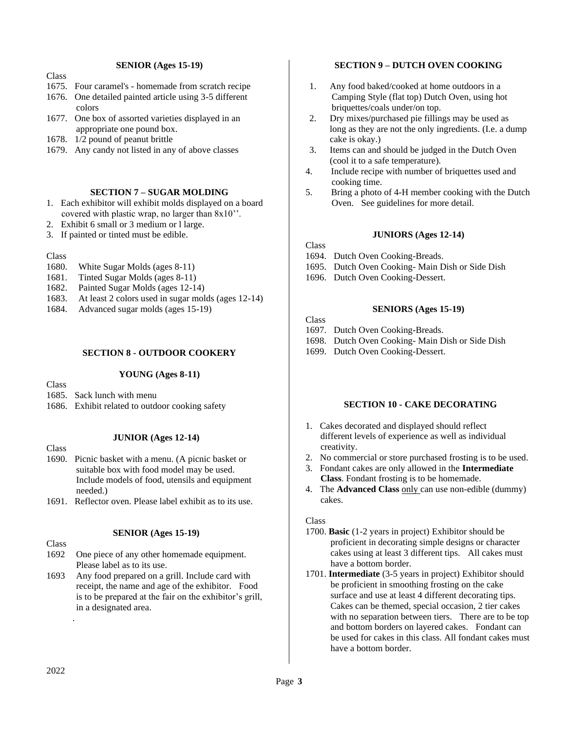### **SENIOR (Ages 15-19)**

- **Class**
- 1675. Four caramel's homemade from scratch recipe
- 1676. One detailed painted article using 3-5 different colors
- 1677. One box of assorted varieties displayed in an appropriate one pound box.
- 1678. 1/2 pound of peanut brittle
- 1679. Any candy not listed in any of above classes

# **SECTION 7 – SUGAR MOLDING**

- 1. Each exhibitor will exhibit molds displayed on a board covered with plastic wrap, no larger than 8x10''.
- 2. Exhibit 6 small or 3 medium or l large.
- 3. If painted or tinted must be edible.

### Class

- 1680. White Sugar Molds (ages 8-11)
- 1681. Tinted Sugar Molds (ages 8-11)
- 1682. Painted Sugar Molds (ages 12-14)
- 1683. At least 2 colors used in sugar molds (ages 12-14)
- 1684. Advanced sugar molds (ages 15-19)

### **SECTION 8 - OUTDOOR COOKERY**

### **YOUNG (Ages 8-11)**

**Class** 

- 1685. Sack lunch with menu
- 1686. Exhibit related to outdoor cooking safety

**Class** 

### **JUNIOR (Ages 12-14)**

- 1690. Picnic basket with a menu. (A picnic basket or suitable box with food model may be used. Include models of food, utensils and equipment needed.)
- 1691. Reflector oven. Please label exhibit as to its use.

### **SENIOR (Ages 15-19)**

Class

- 1692 One piece of any other homemade equipment. Please label as to its use.
- 1693 Any food prepared on a grill. Include card with receipt, the name and age of the exhibitor. Food is to be prepared at the fair on the exhibitor's grill, in a designated area.

### **SECTION 9 – DUTCH OVEN COOKING**

- 1. Any food baked/cooked at home outdoors in a Camping Style (flat top) Dutch Oven, using hot briquettes/coals under/on top.
- 2. Dry mixes/purchased pie fillings may be used as long as they are not the only ingredients. (I.e. a dump cake is okay.)
- 3. Items can and should be judged in the Dutch Oven (cool it to a safe temperature).
- 4. Include recipe with number of briquettes used and cooking time.
- 5. Bring a photo of 4-H member cooking with the Dutch Oven. See guidelines for more detail.

### **JUNIORS (Ages 12-14)**

### Class

- 1694. Dutch Oven Cooking-Breads.
- 1695. Dutch Oven Cooking- Main Dish or Side Dish
- 1696. Dutch Oven Cooking-Dessert.

# **SENIORS (Ages 15-19)**

**Class** 

- 1697. Dutch Oven Cooking-Breads.
- 1698. Dutch Oven Cooking- Main Dish or Side Dish
- 1699. Dutch Oven Cooking-Dessert.

### **SECTION 10 - CAKE DECORATING**

- 1. Cakes decorated and displayed should reflect different levels of experience as well as individual creativity.
- 2. No commercial or store purchased frosting is to be used.
- 3. Fondant cakes are only allowed in the **Intermediate Class**. Fondant frosting is to be homemade.
- 4. The **Advanced Class** only can use non-edible (dummy) cakes.

### Class

- 1700. **Basic** (1-2 years in project) Exhibitor should be proficient in decorating simple designs or character cakes using at least 3 different tips. All cakes must have a bottom border.
- 1701. **Intermediate** (3-5 years in project) Exhibitor should be proficient in smoothing frosting on the cake surface and use at least 4 different decorating tips. Cakes can be themed, special occasion, 2 tier cakes with no separation between tiers. There are to be top and bottom borders on layered cakes. Fondant can be used for cakes in this class. All fondant cakes must have a bottom border.

.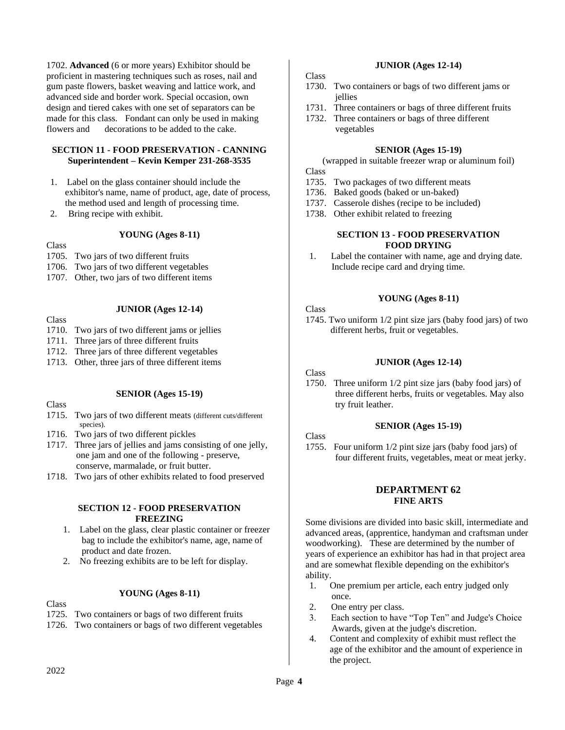1702. **Advanced** (6 or more years) Exhibitor should be proficient in mastering techniques such as roses, nail and gum paste flowers, basket weaving and lattice work, and advanced side and border work. Special occasion, own design and tiered cakes with one set of separators can be made for this class. Fondant can only be used in making flowers and decorations to be added to the cake.

# **SECTION 11 - FOOD PRESERVATION - CANNING Superintendent – Kevin Kemper 231-268-3535**

- 1. Label on the glass container should include the exhibitor's name, name of product, age, date of process, the method used and length of processing time.
- 2. Bring recipe with exhibit.

### **YOUNG (Ages 8-11)**

Class

- 1705. Two jars of two different fruits
- 1706. Two jars of two different vegetables
- 1707. Other, two jars of two different items

### Class

- **JUNIOR (Ages 12-14)**
- 1710. Two jars of two different jams or jellies
- 1711. Three jars of three different fruits
- 1712. Three jars of three different vegetables
- 1713. Other, three jars of three different items

### **SENIOR (Ages 15-19)**

# **Class**

- 1715. Two jars of two different meats (different cuts/different species).
- 1716. Two jars of two different pickles
- 1717. Three jars of jellies and jams consisting of one jelly, one jam and one of the following - preserve, conserve, marmalade, or fruit butter.
- 1718. Two jars of other exhibits related to food preserved

### **SECTION 12 - FOOD PRESERVATION FREEZING**

- 1. Label on the glass, clear plastic container or freezer bag to include the exhibitor's name, age, name of product and date frozen.
- 2. No freezing exhibits are to be left for display.

### **YOUNG (Ages 8-11)**

Class

- 1725. Two containers or bags of two different fruits
- 1726. Two containers or bags of two different vegetables

### **JUNIOR (Ages 12-14)**

Class

- 1730. Two containers or bags of two different jams or jellies
- 1731. Three containers or bags of three different fruits
- 1732. Three containers or bags of three different vegetables

### **SENIOR (Ages 15-19)**

(wrapped in suitable freezer wrap or aluminum foil) Class

- 1735. Two packages of two different meats
- 1736. Baked goods (baked or un-baked)
- 1737. Casserole dishes (recipe to be included)
- 1738. Other exhibit related to freezing

### **SECTION 13 - FOOD PRESERVATION FOOD DRYING**

1. Label the container with name, age and drying date. Include recipe card and drying time.

### **YOUNG (Ages 8-11)**

### Class

1745. Two uniform 1/2 pint size jars (baby food jars) of two different herbs, fruit or vegetables.

### **JUNIOR (Ages 12-14)**

### Class

1750. Three uniform 1/2 pint size jars (baby food jars) of three different herbs, fruits or vegetables. May also try fruit leather.

### **SENIOR (Ages 15-19)**

# Class

1755. Four uniform 1/2 pint size jars (baby food jars) of four different fruits, vegetables, meat or meat jerky.

### **DEPARTMENT 62 FINE ARTS**

Some divisions are divided into basic skill, intermediate and advanced areas, (apprentice, handyman and craftsman under woodworking). These are determined by the number of years of experience an exhibitor has had in that project area and are somewhat flexible depending on the exhibitor's ability.

- 1. One premium per article, each entry judged only once.
- 2. One entry per class.
- 3. Each section to have "Top Ten" and Judge's Choice Awards, given at the judge's discretion.
- 4. Content and complexity of exhibit must reflect the age of the exhibitor and the amount of experience in the project.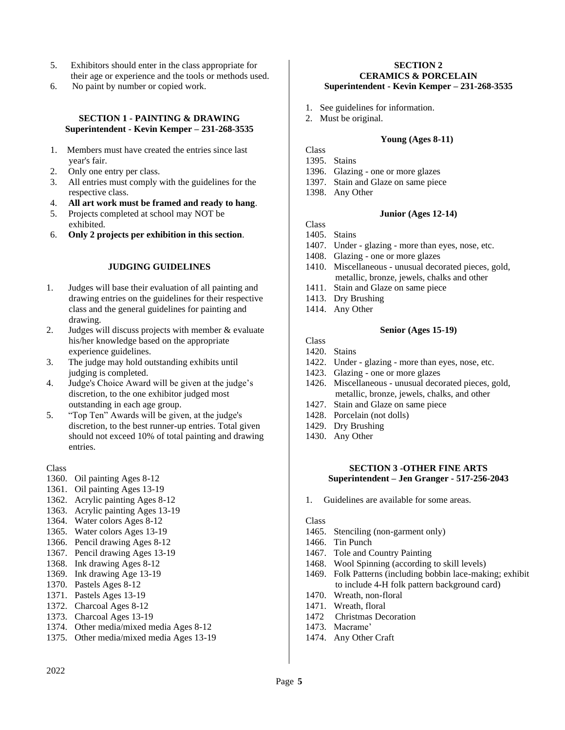- 5. Exhibitors should enter in the class appropriate for their age or experience and the tools or methods used.
- 6. No paint by number or copied work.

### **SECTION 1 - PAINTING & DRAWING Superintendent - Kevin Kemper – 231-268-3535**

- 1. Members must have created the entries since last year's fair.
- 2. Only one entry per class.
- 3. All entries must comply with the guidelines for the respective class.
- 4. **All art work must be framed and ready to hang**.
- 5. Projects completed at school may NOT be exhibited.
- 6. **Only 2 projects per exhibition in this section**.

# **JUDGING GUIDELINES**

- 1. Judges will base their evaluation of all painting and drawing entries on the guidelines for their respective class and the general guidelines for painting and drawing.
- 2. Judges will discuss projects with member & evaluate his/her knowledge based on the appropriate experience guidelines.
- 3. The judge may hold outstanding exhibits until judging is completed.
- 4. Judge's Choice Award will be given at the judge's discretion, to the one exhibitor judged most outstanding in each age group.
- 5. "Top Ten" Awards will be given, at the judge's discretion, to the best runner-up entries. Total given should not exceed 10% of total painting and drawing entries.

### Class

- 1360. Oil painting Ages 8-12
- 1361. Oil painting Ages 13-19
- 1362. Acrylic painting Ages 8-12
- 1363. Acrylic painting Ages 13-19
- 1364. Water colors Ages 8-12
- 1365. Water colors Ages 13-19
- 1366. Pencil drawing Ages 8-12
- 1367. Pencil drawing Ages 13-19
- 1368. Ink drawing Ages 8-12
- 1369. Ink drawing Age 13-19
- 1370. Pastels Ages 8-12
- 1371. Pastels Ages 13-19
- 1372. Charcoal Ages 8-12
- 1373. Charcoal Ages 13-19
- 1374. Other media/mixed media Ages 8-12
- 1375. Other media/mixed media Ages 13-19

### **SECTION 2 CERAMICS & PORCELAIN Superintendent - Kevin Kemper – 231-268-3535**

- 1. See guidelines for information.
- 2. Must be original.

# **Young (Ages 8-11)**

- Class 1395. Stains
- 1396. Glazing one or more glazes
- 1397. Stain and Glaze on same piece
- 
- 1398. Any Other

# **Junior (Ages 12-14)**

- Class 1405. Stains
- 1407. Under glazing more than eyes, nose, etc.
- 1408. Glazing one or more glazes
- 1410. Miscellaneous unusual decorated pieces, gold, metallic, bronze, jewels, chalks and other
- 1411. Stain and Glaze on same piece
- 1413. Dry Brushing
- 1414. Any Other

### **Senior (Ages 15-19)**

Class 1420. Stains

- 1422. Under glazing more than eyes, nose, etc.
- 1423. Glazing one or more glazes
- 1426. Miscellaneous unusual decorated pieces, gold, metallic, bronze, jewels, chalks, and other
- 1427. Stain and Glaze on same piece
- 1428. Porcelain (not dolls)
- 1429. Dry Brushing
- 1430. Any Other

# **SECTION 3 -OTHER FINE ARTS Superintendent – Jen Granger - 517-256-2043**

1. Guidelines are available for some areas.

- 1465. Stenciling (non-garment only)
- 1466. Tin Punch
- 1467. Tole and Country Painting
- 1468. Wool Spinning (according to skill levels)
- 1469. Folk Patterns (including bobbin lace-making; exhibit to include 4-H folk pattern background card)
- 1470. Wreath, non-floral
- 1471. Wreath, floral
- 1472 Christmas Decoration
- 1473. Macrame'
- 1474. Any Other Craft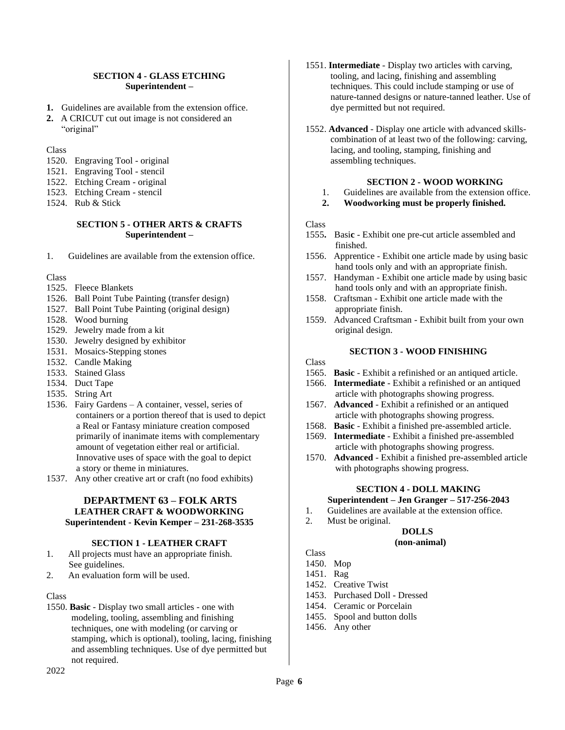### **SECTION 4 - GLASS ETCHING Superintendent –**

- **1.** Guidelines are available from the extension office.
- **2.** A CRICUT cut out image is not considered an "original"

**Class** 

- 1520. Engraving Tool original
- 1521. Engraving Tool stencil
- 1522. Etching Cream original
- 1523. Etching Cream stencil
- 1524. Rub & Stick

### **SECTION 5 - OTHER ARTS & CRAFTS Superintendent –**

1. Guidelines are available from the extension office.

Class

- 1525. Fleece Blankets
- 1526. Ball Point Tube Painting (transfer design)
- 1527. Ball Point Tube Painting (original design)
- 1528. Wood burning
- 1529. Jewelry made from a kit
- 1530. Jewelry designed by exhibitor
- 1531. Mosaics-Stepping stones
- 1532. Candle Making
- 1533. Stained Glass
- 1534. Duct Tape
- 1535. String Art
- 1536. Fairy Gardens A container, vessel, series of containers or a portion thereof that is used to depict a Real or Fantasy miniature creation composed primarily of inanimate items with complementary amount of vegetation either real or artificial. Innovative uses of space with the goal to depict a story or theme in miniatures.
- 1537. Any other creative art or craft (no food exhibits)

### **DEPARTMENT 63 – FOLK ARTS LEATHER CRAFT & WOODWORKING Superintendent - Kevin Kemper – 231-268-3535**

### **SECTION 1 - LEATHER CRAFT**

- 1. All projects must have an appropriate finish. See guidelines.
- 2. An evaluation form will be used.

#### Class

1550. **Basic** - Display two small articles - one with modeling, tooling, assembling and finishing techniques, one with modeling (or carving or stamping, which is optional), tooling, lacing, finishing and assembling techniques. Use of dye permitted but not required.

- 1551. **Intermediate** Display two articles with carving, tooling, and lacing, finishing and assembling techniques. This could include stamping or use of nature-tanned designs or nature-tanned leather. Use of dye permitted but not required.
- 1552. **Advanced** Display one article with advanced skillscombination of at least two of the following: carving, lacing, and tooling, stamping, finishing and assembling techniques.

### **SECTION 2 - WOOD WORKING**

- 1. Guidelines are available from the extension office.
- **2. Woodworking must be properly finished.**

### Class

- 1555**.** Basi**c**  Exhibit one pre-cut article assembled and finished.
- 1556. Apprentice Exhibit one article made by using basic hand tools only and with an appropriate finish.
- 1557. Handyman Exhibit one article made by using basic hand tools only and with an appropriate finish.
- 1558. Craftsman Exhibit one article made with the appropriate finish.
- 1559. Advanced Craftsman Exhibit built from your own original design.

### **SECTION 3 - WOOD FINISHING**

Class

- 1565. **Basic** Exhibit a refinished or an antiqued article.
- 1566. **Intermediate** Exhibit a refinished or an antiqued article with photographs showing progress.
- 1567. **Advanced** Exhibit a refinished or an antiqued article with photographs showing progress.
- 1568. **Basic** Exhibit a finished pre-assembled article.
- 1569. **Intermediate** Exhibit a finished pre-assembled article with photographs showing progress.
- 1570. **Advanced** Exhibit a finished pre-assembled article with photographs showing progress.

### **SECTION 4 - DOLL MAKING**

- **Superintendent – Jen Granger – 517-256-2043**
- 1. Guidelines are available at the extension office.
- 2. Must be original.

#### **DOLLS (non-animal)**

- Class
- 1450. Mop
- 1451. Rag
- 1452. Creative Twist
- 1453. Purchased Doll Dressed
- 1454. Ceramic or Porcelain
- 1455. Spool and button dolls
- 1456. Any other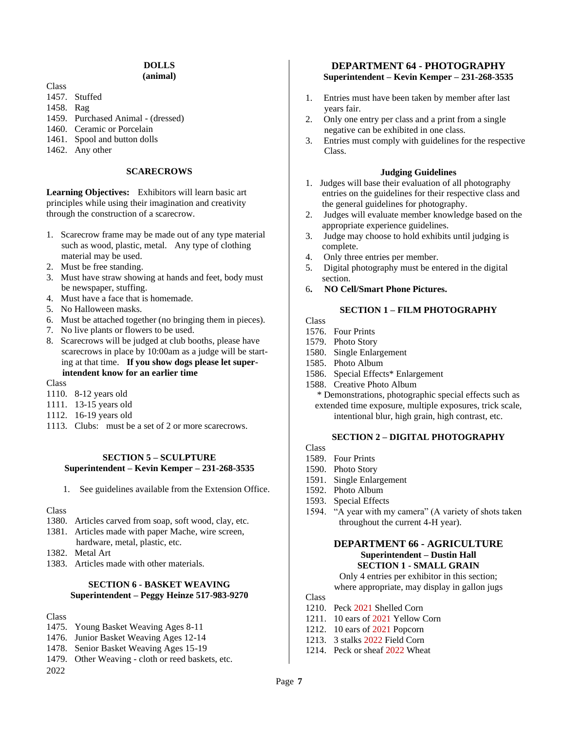# **DOLLS**

**(animal)**

- Class
- 1457. Stuffed
- 1458. Rag
- 1459. Purchased Animal (dressed)
- 1460. Ceramic or Porcelain
- 1461. Spool and button dolls
- 1462. Any other

# **SCARECROWS**

**Learning Objectives:** Exhibitors will learn basic art principles while using their imagination and creativity through the construction of a scarecrow.

- 1. Scarecrow frame may be made out of any type material such as wood, plastic, metal. Any type of clothing material may be used.
- 2. Must be free standing.
- 3. Must have straw showing at hands and feet, body must be newspaper, stuffing.
- 4. Must have a face that is homemade.
- 5. No Halloween masks.
- 6. Must be attached together (no bringing them in pieces).
- 7. No live plants or flowers to be used.
- 8. Scarecrows will be judged at club booths, please have scarecrows in place by 10:00am as a judge will be start ing at that time. **If you show dogs please let super intendent know for an earlier time**
- Class
- 1110. 8-12 years old
- 1111. 13-15 years old
- 1112. 16-19 years old
- 1113. Clubs: must be a set of 2 or more scarecrows.

### **SECTION 5 – SCULPTURE Superintendent – Kevin Kemper – 231-268-3535**

1. See guidelines available from the Extension Office.

### Class

- 1380. Articles carved from soap, soft wood, clay, etc.
- 1381. Articles made with paper Mache, wire screen, hardware, metal, plastic, etc.
- 1382. Metal Art
- 1383. Articles made with other materials.

# **SECTION 6 - BASKET WEAVING Superintendent – Peggy Heinze 517-983-9270**

### Class

- 1475. Young Basket Weaving Ages 8-11
- 1476. Junior Basket Weaving Ages 12-14
- 1478. Senior Basket Weaving Ages 15-19
- 1479. Other Weaving cloth or reed baskets, etc.
- 2022

# **DEPARTMENT 64 - PHOTOGRAPHY Superintendent – Kevin Kemper – 231-268-3535**

- 1. Entries must have been taken by member after last years fair.
- 2. Only one entry per class and a print from a single negative can be exhibited in one class.
- 3. Entries must comply with guidelines for the respective Class.

### **Judging Guidelines**

- 1. Judges will base their evaluation of all photography entries on the guidelines for their respective class and the general guidelines for photography.
- 2. Judges will evaluate member knowledge based on the appropriate experience guidelines.
- 3. Judge may choose to hold exhibits until judging is complete.
- 4. Only three entries per member.
- 5. Digital photography must be entered in the digital section.
- 6**. NO Cell/Smart Phone Pictures.**

# **SECTION 1 – FILM PHOTOGRAPHY**

Class

- 1576. Four Prints
- 1579. Photo Story
- 1580. Single Enlargement
- 1585. Photo Album
- 1586. Special Effects\* Enlargement
- 1588. Creative Photo Album \* Demonstrations, photographic special effects such as extended time exposure, multiple exposures, trick scale, intentional blur, high grain, high contrast, etc.

### **SECTION 2 – DIGITAL PHOTOGRAPHY**

Class

- 1589. Four Prints
- 1590. Photo Story
- 1591. Single Enlargement
- 1592. Photo Album
- 1593. Special Effects
- 1594. "A year with my camera" (A variety of shots taken throughout the current 4-H year).

### **DEPARTMENT 66 - AGRICULTURE Superintendent – Dustin Hall SECTION 1 - SMALL GRAIN**

Only 4 entries per exhibitor in this section; where appropriate, may display in gallon jugs

- 1210. Peck 2021 Shelled Corn
- 1211. 10 ears of 2021 Yellow Corn
- 1212. 10 ears of 2021 Popcorn
- 1213. 3 stalks 2022 Field Corn
- 1214. Peck or sheaf 2022 Wheat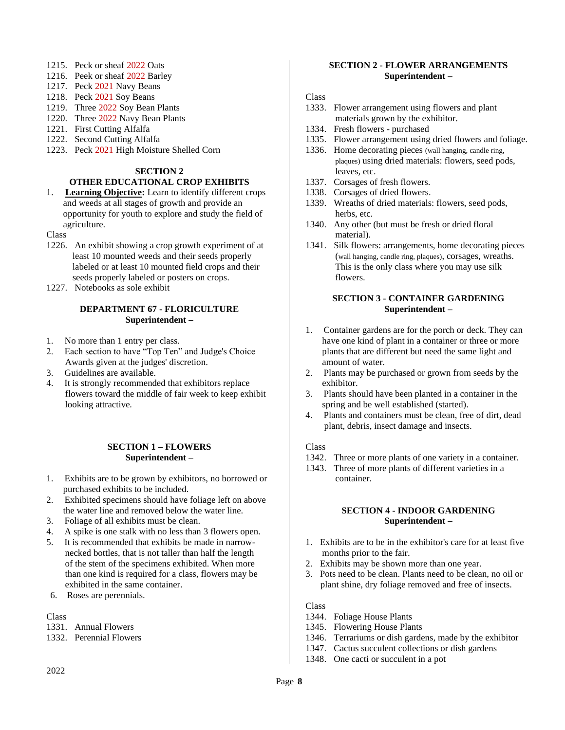- 1215. Peck or sheaf 2022 Oats
- 1216. Peek or sheaf 2022 Barley
- 1217. Peck 2021 Navy Beans
- 1218. Peck 2021 Soy Beans
- 1219. Three 2022 Soy Bean Plants
- 1220. Three 2022 Navy Bean Plants
- 1221. First Cutting Alfalfa
- 1222. Second Cutting Alfalfa
- 1223. Peck 2021 High Moisture Shelled Corn

### **SECTION 2**

### **OTHER EDUCATIONAL CROP EXHIBITS**

1. **Learning Objective:** Learn to identify different crops and weeds at all stages of growth and provide an opportunity for youth to explore and study the field of agriculture.

Class

- 1226. An exhibit showing a crop growth experiment of at least 10 mounted weeds and their seeds properly labeled or at least 10 mounted field crops and their seeds properly labeled or posters on crops.
- 1227. Notebooks as sole exhibit

### **DEPARTMENT 67 - FLORICULTURE Superintendent –**

- 1. No more than 1 entry per class.
- 2. Each section to have "Top Ten" and Judge's Choice Awards given at the judges' discretion.
- 3. Guidelines are available.
- 4. It is strongly recommended that exhibitors replace flowers toward the middle of fair week to keep exhibit looking attractive.

### **SECTION 1 – FLOWERS Superintendent –**

- 1. Exhibits are to be grown by exhibitors, no borrowed or purchased exhibits to be included.
- 2. Exhibited specimens should have foliage left on above the water line and removed below the water line.
- 3. Foliage of all exhibits must be clean.
- 4. A spike is one stalk with no less than 3 flowers open.
- 5. It is recommended that exhibits be made in narrow necked bottles, that is not taller than half the length of the stem of the specimens exhibited. When more than one kind is required for a class, flowers may be exhibited in the same container.
- 6. Roses are perennials.

### Class

- 1331. Annual Flowers
- 1332. Perennial Flowers

# **SECTION 2 - FLOWER ARRANGEMENTS Superintendent –**

### Class

- 1333. Flower arrangement using flowers and plant materials grown by the exhibitor.
- 1334. Fresh flowers purchased
- 1335. Flower arrangement using dried flowers and foliage.
- 1336. Home decorating pieces (wall hanging, candle ring, plaques) using dried materials: flowers, seed pods, leaves, etc.
- 1337. Corsages of fresh flowers.
- 1338. Corsages of dried flowers.
- 1339. Wreaths of dried materials: flowers, seed pods, herbs, etc.
- 1340. Any other (but must be fresh or dried floral material).
- 1341. Silk flowers: arrangements, home decorating pieces (wall hanging, candle ring, plaques), corsages, wreaths. This is the only class where you may use silk flowers.

# **SECTION 3 - CONTAINER GARDENING Superintendent –**

- 1. Container gardens are for the porch or deck. They can have one kind of plant in a container or three or more plants that are different but need the same light and amount of water.
- 2. Plants may be purchased or grown from seeds by the exhibitor.
- 3. Plants should have been planted in a container in the spring and be well established (started).
- 4. Plants and containers must be clean, free of dirt, dead plant, debris, insect damage and insects.

### Class

- 1342. Three or more plants of one variety in a container.
- 1343. Three of more plants of different varieties in a container.

### **SECTION 4 - INDOOR GARDENING Superintendent –**

- 1. Exhibits are to be in the exhibitor's care for at least five months prior to the fair.
- 2. Exhibits may be shown more than one year.
- 3. Pots need to be clean. Plants need to be clean, no oil or plant shine, dry foliage removed and free of insects.

- 1344. Foliage House Plants
- 1345. Flowering House Plants
- 1346. Terrariums or dish gardens, made by the exhibitor
- 1347. Cactus succulent collections or dish gardens
- 1348. One cacti or succulent in a pot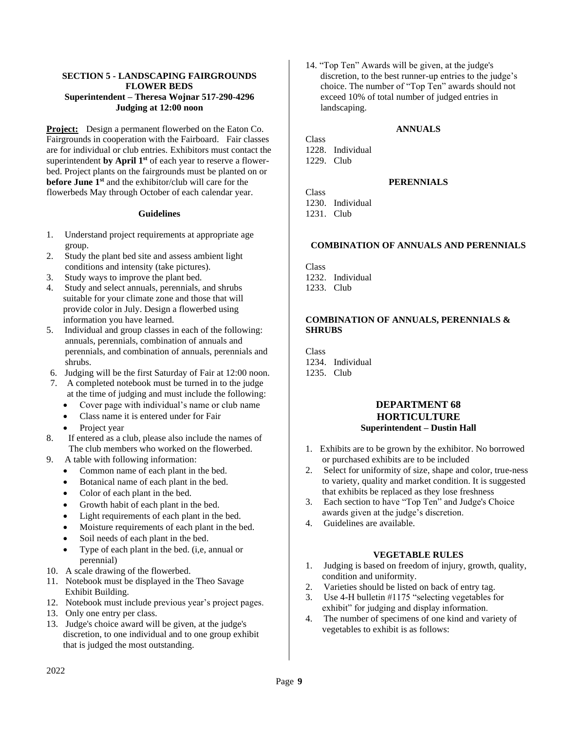### **SECTION 5 - LANDSCAPING FAIRGROUNDS FLOWER BEDS Superintendent – Theresa Wojnar 517-290-4296 Judging at 12:00 noon**

**Project:** Design a permanent flowerbed on the Eaton Co. Fairgrounds in cooperation with the Fairboard. Fair classes are for individual or club entries. Exhibitors must contact the superintendent **by April 1st** of each year to reserve a flowerbed. Project plants on the fairgrounds must be planted on or **before June 1st** and the exhibitor/club will care for the flowerbeds May through October of each calendar year.

### **Guidelines**

- 1. Understand project requirements at appropriate age group.
- 2. Study the plant bed site and assess ambient light conditions and intensity (take pictures).
- 3. Study ways to improve the plant bed.<br>4. Study and select annuals, perennials.
- Study and select annuals, perennials, and shrubs suitable for your climate zone and those that will provide color in July. Design a flowerbed using information you have learned.
- 5. Individual and group classes in each of the following: annuals, perennials, combination of annuals and perennials, and combination of annuals, perennials and shrubs.
- 6. Judging will be the first Saturday of Fair at 12:00 noon.
- 7. A completed notebook must be turned in to the judge at the time of judging and must include the following:
	- Cover page with individual's name or club name
	- Class name it is entered under for Fair
	- Project year
- 8. If entered as a club, please also include the names of The club members who worked on the flowerbed.
- 9. A table with following information:
	- Common name of each plant in the bed.
	- Botanical name of each plant in the bed.
	- Color of each plant in the bed.
	- Growth habit of each plant in the bed.
	- Light requirements of each plant in the bed.
	- Moisture requirements of each plant in the bed.
	- Soil needs of each plant in the bed.
	- Type of each plant in the bed. (i,e, annual or perennial)
- 10. A scale drawing of the flowerbed.
- 11. Notebook must be displayed in the Theo Savage Exhibit Building.
- 12. Notebook must include previous year's project pages.
- 13. Only one entry per class.
- 13. Judge's choice award will be given, at the judge's discretion, to one individual and to one group exhibit that is judged the most outstanding.

14. "Top Ten" Awards will be given, at the judge's discretion, to the best runner-up entries to the judge's choice. The number of "Top Ten" awards should not exceed 10% of total number of judged entries in landscaping.

### **ANNUALS**

Class 1228. Individual 1229. Club

# **PERENNIALS**

Class 1230. Individual 1231. Club

### **COMBINATION OF ANNUALS AND PERENNIALS**

Class 1232. Individual 1233. Club

### **COMBINATION OF ANNUALS, PERENNIALS & SHRUBS**

**Class** 1234. Individual 1235. Club

# **DEPARTMENT 68 HORTICULTURE Superintendent – Dustin Hall**

- 1. Exhibits are to be grown by the exhibitor. No borrowed or purchased exhibits are to be included
- 2. Select for uniformity of size, shape and color, true-ness to variety, quality and market condition. It is suggested that exhibits be replaced as they lose freshness
- 3. Each section to have "Top Ten" and Judge's Choice awards given at the judge's discretion.
- 4. Guidelines are available.

### **VEGETABLE RULES**

- 1. Judging is based on freedom of injury, growth, quality, condition and uniformity.
- 2. Varieties should be listed on back of entry tag.
- 3. Use 4-H bulletin #1175 "selecting vegetables for exhibit" for judging and display information.
- 4. The number of specimens of one kind and variety of vegetables to exhibit is as follows: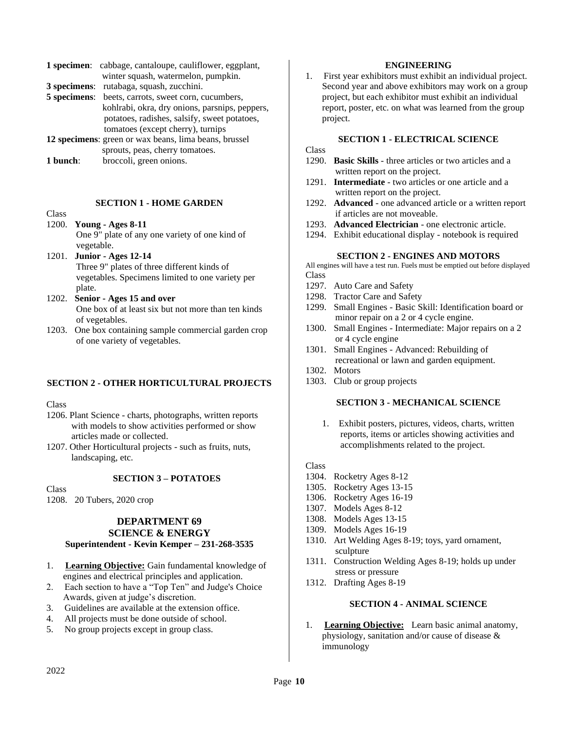| <b>1 specimen</b> : cabbage, cantaloupe, cauliflower, eggplant, |
|-----------------------------------------------------------------|
| winter squash, watermelon, pumpkin.                             |
| 3 specimens: rutabaga, squash, zucchini.                        |
| <b>5 specimens:</b> beets, carrots, sweet corn, cucumbers,      |
| kohlrabi, okra, dry onions, parsnips, peppers,                  |
| potatoes, radishes, salsify, sweet potatoes,                    |
| tomatoes (except cherry), turnips                               |
| 12 specimens: green or wax beans, lima beans, brussel           |
| sprouts, peas, cherry tomatoes.                                 |

**1 bunch**: broccoli, green onions.

### **SECTION 1 - HOME GARDEN**

# **Class**

1200. **Young - Ages 8-11** One 9" plate of any one variety of one kind of vegetable.

- 1201. **Junior - Ages 12-14** Three 9" plates of three different kinds of vegetables. Specimens limited to one variety per plate.
- 1202. **Senior - Ages 15 and over** One box of at least six but not more than ten kinds of vegetables.
- 1203. One box containing sample commercial garden crop of one variety of vegetables.

### **SECTION 2 - OTHER HORTICULTURAL PROJECTS**

Class

- 1206. Plant Science charts, photographs, written reports with models to show activities performed or show articles made or collected.
- 1207. Other Horticultural projects such as fruits, nuts, landscaping, etc.

### **SECTION 3 – POTATOES**

Class

1208. 20 Tubers, 2020 crop

### **DEPARTMENT 69 SCIENCE & ENERGY**

# **Superintendent - Kevin Kemper – 231-268-3535**

- 1. **Learning Objective:** Gain fundamental knowledge of engines and electrical principles and application.
- 2. Each section to have a "Top Ten" and Judge's Choice Awards, given at judge's discretion.
- 3. Guidelines are available at the extension office.
- 4. All projects must be done outside of school.
- 5. No group projects except in group class.

# **ENGINEERING**

1. First year exhibitors must exhibit an individual project. Second year and above exhibitors may work on a group project, but each exhibitor must exhibit an individual report, poster, etc. on what was learned from the group project.

# **SECTION 1 - ELECTRICAL SCIENCE**

Class

- 1290. **Basic Skills** three articles or two articles and a written report on the project.
- 1291. **Intermediate** two articles or one article and a written report on the project.
- 1292. **Advanced**  one advanced article or a written report if articles are not moveable.
- 1293. **Advanced Electrician** one electronic article.
- 1294. Exhibit educational display notebook is required

# **SECTION 2 - ENGINES AND MOTORS**

All engines will have a test run. Fuels must be emptied out before displayed Class

- 1297. Auto Care and Safety
- 1298. Tractor Care and Safety
- 1299. Small Engines Basic Skill: Identification board or minor repair on a 2 or 4 cycle engine.
- 1300. Small Engines Intermediate: Major repairs on a 2 or 4 cycle engine
- 1301. Small Engines Advanced: Rebuilding of recreational or lawn and garden equipment.
- 1302. Motors
- 1303. Club or group projects

### **SECTION 3 - MECHANICAL SCIENCE**

1. Exhibit posters, pictures, videos, charts, written reports, items or articles showing activities and accomplishments related to the project.

Class

- 1304. Rocketry Ages 8-12
- 1305. Rocketry Ages 13-15
- 1306. Rocketry Ages 16-19
- 1307. Models Ages 8-12
- 1308. Models Ages 13-15
- 1309. Models Ages 16-19
- 1310. Art Welding Ages 8-19; toys, yard ornament, sculpture
- 1311. Construction Welding Ages 8-19; holds up under stress or pressure
- 1312. Drafting Ages 8-19

# **SECTION 4 - ANIMAL SCIENCE**

1. **Learning Objective:** Learn basic animal anatomy, physiology, sanitation and/or cause of disease & immunology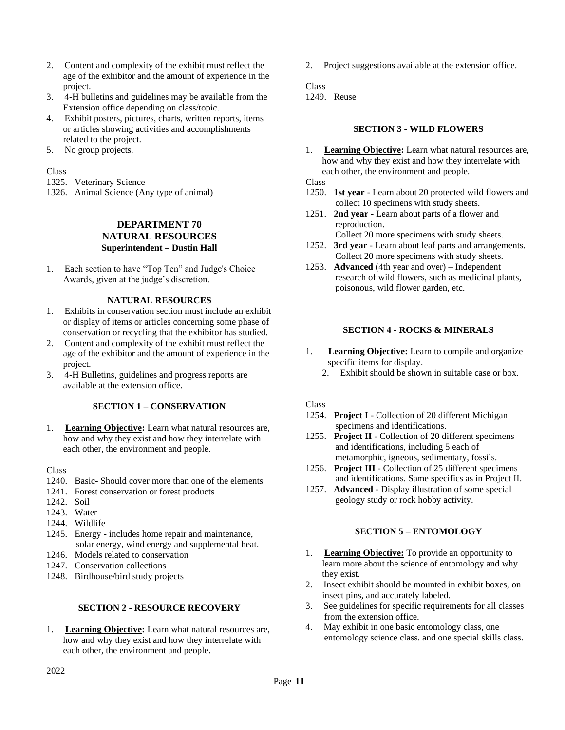- 2. Content and complexity of the exhibit must reflect the age of the exhibitor and the amount of experience in the project.
- 3. 4-H bulletins and guidelines may be available from the Extension office depending on class/topic.
- 4. Exhibit posters, pictures, charts, written reports, items or articles showing activities and accomplishments related to the project.
- 5. No group projects.

### Class

- 1325. Veterinary Science
- 1326. Animal Science (Any type of animal)

# **DEPARTMENT 70 NATURAL RESOURCES Superintendent – Dustin Hall**

1. Each section to have "Top Ten" and Judge's Choice Awards, given at the judge's discretion.

### **NATURAL RESOURCES**

- 1. Exhibits in conservation section must include an exhibit or display of items or articles concerning some phase of conservation or recycling that the exhibitor has studied.
- 2. Content and complexity of the exhibit must reflect the age of the exhibitor and the amount of experience in the project.
- 3. 4-H Bulletins, guidelines and progress reports are available at the extension office.

### **SECTION 1 – CONSERVATION**

1. **Learning Objective:** Learn what natural resources are, how and why they exist and how they interrelate with each other, the environment and people.

### **Class**

- 1240. Basic- Should cover more than one of the elements
- 1241. Forest conservation or forest products
- 1242. Soil
- 1243. Water
- 1244. Wildlife
- 1245. Energy includes home repair and maintenance, solar energy, wind energy and supplemental heat.
- 1246. Models related to conservation
- 1247. Conservation collections
- 1248. Birdhouse/bird study projects

# **SECTION 2 - RESOURCE RECOVERY**

1. **Learning Objective:** Learn what natural resources are, how and why they exist and how they interrelate with each other, the environment and people.

2. Project suggestions available at the extension office.

Class 1249. Reuse

### **SECTION 3 - WILD FLOWERS**

1. **Learning Objective:** Learn what natural resources are, how and why they exist and how they interrelate with each other, the environment and people.

Class

- 1250. **1st year** Learn about 20 protected wild flowers and collect 10 specimens with study sheets.
- 1251. **2nd year** Learn about parts of a flower and reproduction. Collect 20 more specimens with study sheets.
- 1252. **3rd year** Learn about leaf parts and arrangements. Collect 20 more specimens with study sheets.
- 1253. **Advanced** (4th year and over) Independent research of wild flowers, such as medicinal plants, poisonous, wild flower garden, etc.

# **SECTION 4 - ROCKS & MINERALS**

- 1. **Learning Objective:** Learn to compile and organize specific items for display.
	- 2. Exhibit should be shown in suitable case or box.

### Class

- 1254. **Project I** Collection of 20 different Michigan specimens and identifications.
- 1255. **Project II** Collection of 20 different specimens and identifications, including 5 each of metamorphic, igneous, sedimentary, fossils.
- 1256. **Project III** Collection of 25 different specimens and identifications. Same specifics as in Project II.
- 1257. **Advanced**  Display illustration of some special geology study or rock hobby activity.

### **SECTION 5 – ENTOMOLOGY**

- 1. **Learning Objective:** To provide an opportunity to learn more about the science of entomology and why they exist.
- 2. Insect exhibit should be mounted in exhibit boxes, on insect pins, and accurately labeled.
- 3. See guidelines for specific requirements for all classes from the extension office.
- 4. May exhibit in one basic entomology class, one entomology science class. and one special skills class.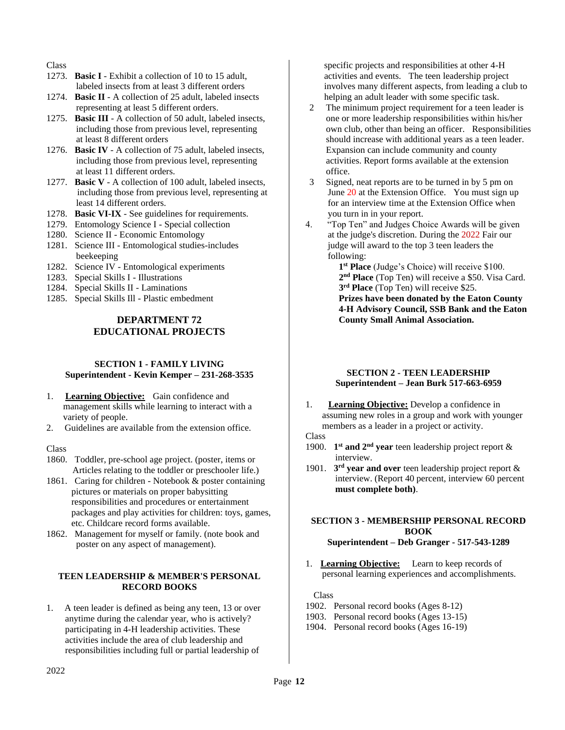### Class

- 1273. **Basic I** Exhibit a collection of 10 to 15 adult, labeled insects from at least 3 different orders
- 1274. **Basic II** A collection of 25 adult, labeled insects representing at least 5 different orders.
- 1275. **Basic III** A collection of 50 adult, labeled insects, including those from previous level, representing at least 8 different orders
- 1276. **Basic IV** A collection of 75 adult, labeled insects, including those from previous level, representing at least 11 different orders.
- 1277. **Basic V** A collection of 100 adult, labeled insects, including those from previous level, representing at least 14 different orders.
- 1278. **Basic VI-IX** See guidelines for requirements.
- 1279. Entomology Science I Special collection
- 1280. Science II Economic Entomology
- 1281. Science III Entomological studies-includes beekeeping
- 1282. Science IV Entomological experiments
- 1283. Special Skills I Illustrations
- 1284. Special Skills II Laminations
- 1285. Special Skills Ill Plastic embedment

# **DEPARTMENT 72 EDUCATIONAL PROJECTS**

# **SECTION 1 - FAMILY LIVING Superintendent - Kevin Kemper – 231-268-3535**

- 1. **Learning Objective:** Gain confidence and management skills while learning to interact with a variety of people.
- 2. Guidelines are available from the extension office.

### Class

- 1860. Toddler, pre-school age project. (poster, items or Articles relating to the toddler or preschooler life.)
- 1861. Caring for children Notebook & poster containing pictures or materials on proper babysitting responsibilities and procedures or entertainment packages and play activities for children: toys, games, etc. Childcare record forms available.
- 1862. Management for myself or family. (note book and poster on any aspect of management).

### **TEEN LEADERSHIP & MEMBER'S PERSONAL RECORD BOOKS**

1. A teen leader is defined as being any teen, 13 or over anytime during the calendar year, who is actively? participating in 4-H leadership activities. These activities include the area of club leadership and responsibilities including full or partial leadership of

 specific projects and responsibilities at other 4-H activities and events. The teen leadership project involves many different aspects, from leading a club to helping an adult leader with some specific task.

- 2 The minimum project requirement for a teen leader is one or more leadership responsibilities within his/her own club, other than being an officer. Responsibilities should increase with additional years as a teen leader. Expansion can include community and county activities. Report forms available at the extension office.
- 3 Signed, neat reports are to be turned in by 5 pm on June 20 at the Extension Office. You must sign up for an interview time at the Extension Office when you turn in in your report.
- 4. "Top Ten" and Judges Choice Awards will be given at the judge's discretion. During the 2022 Fair our judge will award to the top 3 teen leaders the following:

**1 st Place** (Judge's Choice) will receive \$100. **2 nd Place** (Top Ten) will receive a \$50. Visa Card. **3 rd Place** (Top Ten) will receive \$25. **Prizes have been donated by the Eaton County 4-H Advisory Council, SSB Bank and the Eaton County Small Animal Association.**

### **SECTION 2 - TEEN LEADERSHIP Superintendent – Jean Burk 517-663-6959**

1. **Learning Objective:** Develop a confidence in assuming new roles in a group and work with younger members as a leader in a project or activity.

# Class

- 1900. **1 st and 2nd year** teen leadership project report & interview.
- 1901. **3 rd year and over** teen leadership project report & interview. (Report 40 percent, interview 60 percent **must complete both)**.

### **SECTION 3 - MEMBERSHIP PERSONAL RECORD BOOK Superintendent – Deb Granger - 517-543-1289**

1. **Learning Objective:** Learn to keep records of personal learning experiences and accomplishments.

- 1902. Personal record books (Ages 8-12)
- 1903. Personal record books (Ages 13-15)
- 1904. Personal record books (Ages 16-19)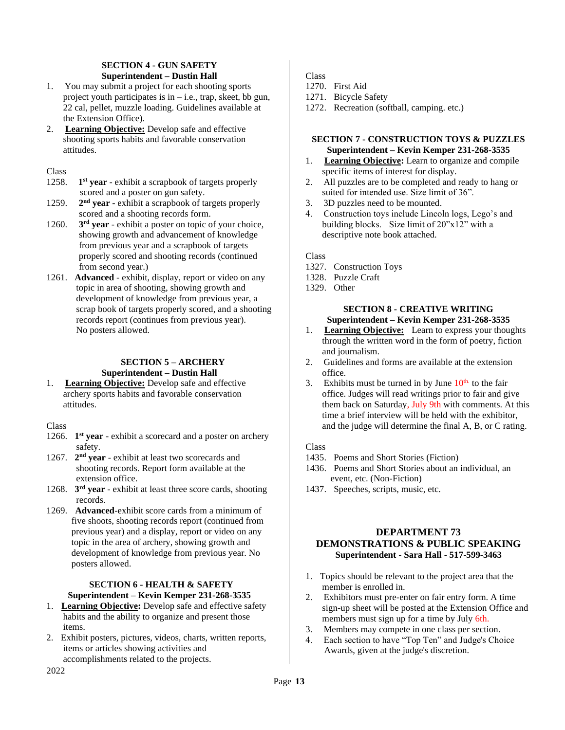# **SECTION 4 - GUN SAFETY Superintendent – Dustin Hall**

- 1. You may submit a project for each shooting sports project youth participates is in  $-i.e.,$  trap, skeet, bb gun, 22 cal, pellet, muzzle loading. Guidelines available at the Extension Office).
- 2. **Learning Objective:** Develop safe and effective shooting sports habits and favorable conservation attitudes.

Class

- 1258. **1** 1<sup>st</sup> year - exhibit a scrapbook of targets properly scored and a poster on gun safety.
- 1259. **2** 2<sup>nd</sup> year - exhibit a scrapbook of targets properly scored and a shooting records form.
- 1260. **3 3<sup>rd</sup> year** - exhibit a poster on topic of your choice, showing growth and advancement of knowledge from previous year and a scrapbook of targets properly scored and shooting records (continued from second year.)
- 1261. **Advanced**  exhibit, display, report or video on any topic in area of shooting, showing growth and development of knowledge from previous year, a scrap book of targets properly scored, and a shooting records report (continues from previous year). No posters allowed.

# **SECTION 5 – ARCHERY Superintendent – Dustin Hall**

1. **Learning Objective:** Develop safe and effective archery sports habits and favorable conservation attitudes.

**Class** 

- 1266. **1**<sup>st</sup> **year** exhibit a scorecard and a poster on archery safety.
- 1267. **2 nd year** exhibit at least two scorecards and shooting records. Report form available at the extension office.
- 1268. **3 rd year** exhibit at least three score cards, shooting records.
- 1269. **Advanced**-exhibit score cards from a minimum of five shoots, shooting records report (continued from previous year) and a display, report or video on any topic in the area of archery, showing growth and development of knowledge from previous year. No posters allowed.

# **SECTION 6 - HEALTH & SAFETY Superintendent – Kevin Kemper 231-268-3535**

- 1. **Learning Objective:** Develop safe and effective safety habits and the ability to organize and present those items.
- 2. Exhibit posters, pictures, videos, charts, written reports, items or articles showing activities and accomplishments related to the projects.

Class

- 1270. First Aid
- 1271. Bicycle Safety
- 1272. Recreation (softball, camping. etc.)

# **SECTION 7 - CONSTRUCTION TOYS & PUZZLES Superintendent – Kevin Kemper 231-268-3535**

- 1. **Learning Objective:** Learn to organize and compile specific items of interest for display.
- 2. All puzzles are to be completed and ready to hang or suited for intended use. Size limit of 36".
- 3. 3D puzzles need to be mounted.
- 4. Construction toys include Lincoln logs, Lego's and building blocks. Size limit of 20"x12" with a descriptive note book attached.

Class

- 1327. Construction Toys
- 1328. Puzzle Craft
- 1329. Other

### **SECTION 8 - CREATIVE WRITING Superintendent – Kevin Kemper 231-268-3535**

- 1. **Learning Objective:** Learn to express your thoughts through the written word in the form of poetry, fiction and journalism.
- 2. Guidelines and forms are available at the extension office.
- 3. Exhibits must be turned in by June  $10<sup>th</sup>$  to the fair office. Judges will read writings prior to fair and give them back on Saturday, July 9th with comments. At this time a brief interview will be held with the exhibitor, and the judge will determine the final A, B, or C rating.

# Class

- 1435. Poems and Short Stories (Fiction)
- 1436. Poems and Short Stories about an individual, an event, etc. (Non-Fiction)
- 1437. Speeches, scripts, music, etc.

# **DEPARTMENT 73 DEMONSTRATIONS & PUBLIC SPEAKING Superintendent - Sara Hall - 517-599-3463**

- 1. Topics should be relevant to the project area that the member is enrolled in.
- 2. Exhibitors must pre-enter on fair entry form. A time sign-up sheet will be posted at the Extension Office and members must sign up for a time by July 6th.
- 3. Members may compete in one class per section.
- 4. Each section to have "Top Ten" and Judge's Choice Awards, given at the judge's discretion.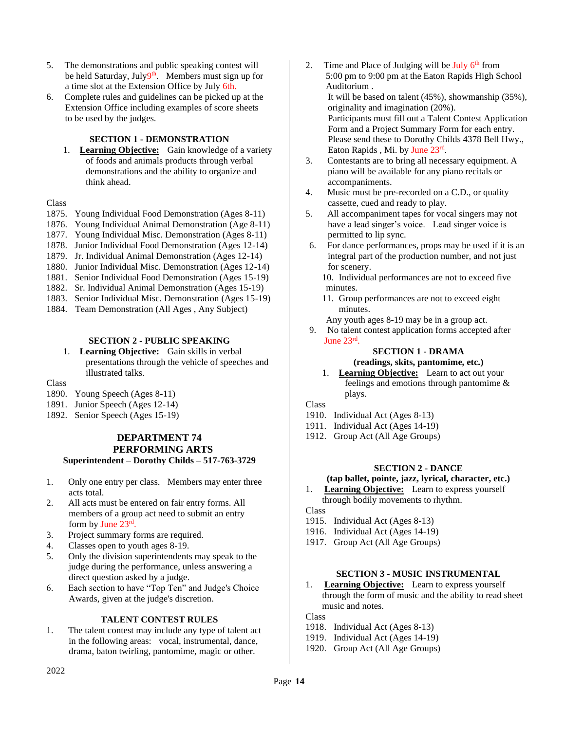- 5. The demonstrations and public speaking contest will be held Saturday, July<sup>9th</sup>. Members must sign up for a time slot at the Extension Office by July 6th.
- 6. Complete rules and guidelines can be picked up at the Extension Office including examples of score sheets to be used by the judges.

# **SECTION 1 - DEMONSTRATION**

1. **Learning Objective:** Gain knowledge of a variety of foods and animals products through verbal demonstrations and the ability to organize and think ahead.

### Class

- 1875. Young Individual Food Demonstration (Ages 8-11)
- 1876. Young Individual Animal Demonstration (Age 8-11)
- 1877. Young Individual Misc. Demonstration (Ages 8-11)
- 1878. Junior Individual Food Demonstration (Ages 12-14)
- 1879. Jr. Individual Animal Demonstration (Ages 12-14)
- 1880. Junior Individual Misc. Demonstration (Ages 12-14)
- 1881. Senior Individual Food Demonstration (Ages 15-19)
- 1882. Sr. Individual Animal Demonstration (Ages 15-19)
- 1883. Senior Individual Misc. Demonstration (Ages 15-19)
- 1884. Team Demonstration (All Ages , Any Subject)

### **SECTION 2 - PUBLIC SPEAKING**

1. **Learning Objective:** Gain skills in verbal presentations through the vehicle of speeches and illustrated talks.

Class

- 1890. Young Speech (Ages 8-11)
- 1891. Junior Speech (Ages 12-14)
- 1892. Senior Speech (Ages 15-19)

# **DEPARTMENT 74 PERFORMING ARTS Superintendent – Dorothy Childs – 517-763-3729**

- 1. Only one entry per class. Members may enter three acts total.
- 2. All acts must be entered on fair entry forms. All members of a group act need to submit an entry form by June  $23^{\text{rd}}$ .
- 3. Project summary forms are required.
- 4. Classes open to youth ages 8-19.
- 5. Only the division superintendents may speak to the judge during the performance, unless answering a direct question asked by a judge.
- 6. Each section to have "Top Ten" and Judge's Choice Awards, given at the judge's discretion.

### **TALENT CONTEST RULES**

1. The talent contest may include any type of talent act in the following areas: vocal, instrumental, dance, drama, baton twirling, pantomime, magic or other.

- 2. Time and Place of Judging will be July  $6<sup>th</sup>$  from 5:00 pm to 9:00 pm at the Eaton Rapids High School Auditorium . It will be based on talent (45%), showmanship (35%), originality and imagination (20%). Participants must fill out a Talent Contest Application Form and a Project Summary Form for each entry. Please send these to Dorothy Childs 4378 Bell Hwy., Eaton Rapids, Mi. by June 23rd.
- 3. Contestants are to bring all necessary equipment. A piano will be available for any piano recitals or accompaniments.
- 4. Music must be pre-recorded on a C.D., or quality cassette, cued and ready to play.
- 5. All accompaniment tapes for vocal singers may not have a lead singer's voice. Lead singer voice is permitted to lip sync.
- 6. For dance performances, props may be used if it is an integral part of the production number, and not just for scenery.
	- 10. Individual performances are not to exceed five minutes.
	- 11. Group performances are not to exceed eight minutes.
	- Any youth ages 8-19 may be in a group act.
- 9. No talent contest application forms accepted after June 23rd .

#### **SECTION 1 - DRAMA (readings, skits, pantomime, etc.)**

1. **Learning Objective:** Learn to act out your feelings and emotions through pantomime & plays.

Class

- 1910. Individual Act (Ages 8-13)
- 1911. Individual Act (Ages 14-19)
- 1912. Group Act (All Age Groups)

# **SECTION 2 - DANCE**

# **(tap ballet, pointe, jazz, lyrical, character, etc.)**

1. **Learning Objective:** Learn to express yourself through bodily movements to rhythm.

Class

- 1915. Individual Act (Ages 8-13)
- 1916. Individual Act (Ages 14-19)
- 1917. Group Act (All Age Groups)

# **SECTION 3 - MUSIC INSTRUMENTAL**

1. **Learning Objective:** Learn to express yourself through the form of music and the ability to read sheet music and notes.

- 1918. Individual Act (Ages 8-13)
- 1919. Individual Act (Ages 14-19)
- 1920. Group Act (All Age Groups)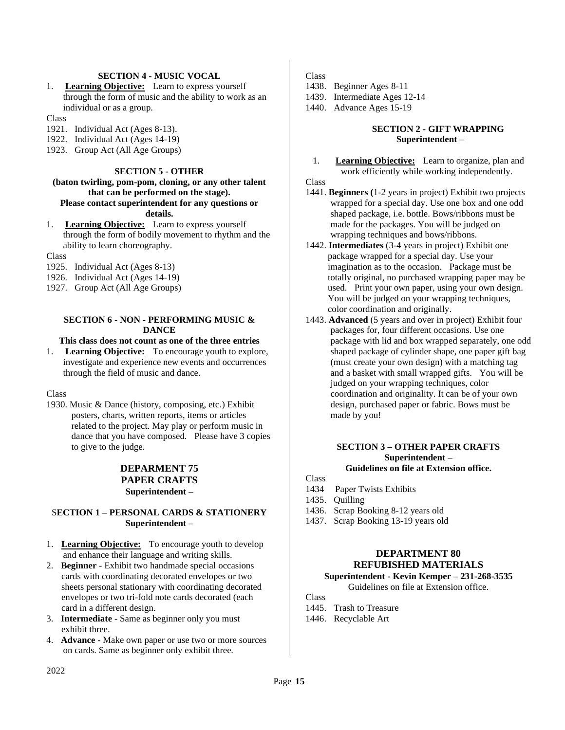# **SECTION 4 - MUSIC VOCAL**

1. **Learning Objective:** Learn to express yourself through the form of music and the ability to work as an individual or as a group.

Class

- 1921. Individual Act (Ages 8-13).
- 1922. Individual Act (Ages 14-19)
- 1923. Group Act (All Age Groups)

### **SECTION 5 - OTHER**

### **(baton twirling, pom-pom, cloning, or any other talent that can be performed on the stage). Please contact superintendent for any questions or details.**

1. **Learning Objective:** Learn to express yourself through the form of bodily movement to rhythm and the ability to learn choreography.

**Class** 

- 1925. Individual Act (Ages 8-13)
- 1926. Individual Act (Ages 14-19)
- 1927. Group Act (All Age Groups)

# **SECTION 6 - NON - PERFORMING MUSIC & DANCE**

# **This class does not count as one of the three entries**

1. **Learning Objective:** To encourage youth to explore, investigate and experience new events and occurrences through the field of music and dance.

Class

1930. Music & Dance (history, composing, etc.) Exhibit posters, charts, written reports, items or articles related to the project. May play or perform music in dance that you have composed. Please have 3 copies to give to the judge.

# **DEPARMENT 75 PAPER CRAFTS Superintendent –**

# S**ECTION 1 – PERSONAL CARDS & STATIONERY Superintendent –**

- 1. **Learning Objective:** To encourage youth to develop and enhance their language and writing skills.
- 2. **Beginner**  Exhibit two handmade special occasions cards with coordinating decorated envelopes or two sheets personal stationary with coordinating decorated envelopes or two tri-fold note cards decorated (each card in a different design.
- 3. **Intermediate** Same as beginner only you must exhibit three.
- 4. **Advance**  Make own paper or use two or more sources on cards. Same as beginner only exhibit three.

Class

- 1438. Beginner Ages 8-11
- 1439. Intermediate Ages 12-14
- 1440. Advance Ages 15-19

### **SECTION 2 - GIFT WRAPPING Superintendent –**

1. **Learning Objective:** Learn to organize, plan and work efficiently while working independently.

Class

- 1441. **Beginners (**1-2 years in project) Exhibit two projects wrapped for a special day. Use one box and one odd shaped package, i.e. bottle. Bows/ribbons must be made for the packages. You will be judged on wrapping techniques and bows/ribbons.
- 1442. **Intermediates** (3-4 years in project) Exhibit one package wrapped for a special day. Use your imagination as to the occasion. Package must be totally original, no purchased wrapping paper may be used. Print your own paper, using your own design. You will be judged on your wrapping techniques, color coordination and originally.
- 1443. **Advanced** (5 years and over in project) Exhibit four packages for, four different occasions. Use one package with lid and box wrapped separately, one odd shaped package of cylinder shape, one paper gift bag (must create your own design) with a matching tag and a basket with small wrapped gifts. You will be judged on your wrapping techniques, color coordination and originality. It can be of your own design, purchased paper or fabric. Bows must be made by you!

### **SECTION 3 – OTHER PAPER CRAFTS Superintendent – Guidelines on file at Extension office.**

Class

- 1434 Paper Twists Exhibits
- 1435. Quilling
- 1436. Scrap Booking 8-12 years old
- 1437. Scrap Booking 13-19 years old

# **DEPARTMENT 80 REFUBISHED MATERIALS**

### **Superintendent - Kevin Kemper – 231-268-3535** Guidelines on file at Extension office.

Class

1445. Trash to Treasure 1446. Recyclable Art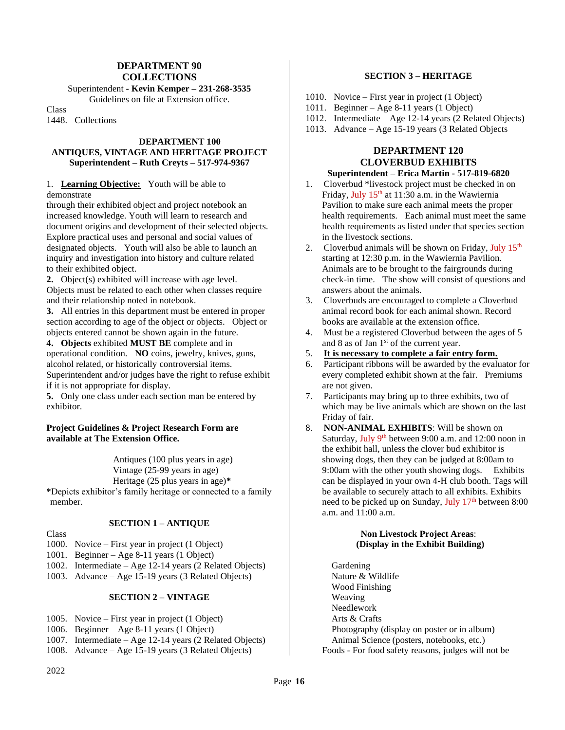# **DEPARTMENT 90 COLLECTIONS**

Superintendent **- Kevin Kemper – 231-268-3535**

Guidelines on file at Extension office.

Class

1448. Collections

### **DEPARTMENT 100 ANTIQUES, VINTAGE AND HERITAGE PROJECT Superintendent – Ruth Creyts – 517-974-9367**

### 1. **Learning Objective:** Youth will be able to demonstrate

through their exhibited object and project notebook an increased knowledge. Youth will learn to research and document origins and development of their selected objects. Explore practical uses and personal and social values of designated objects. Youth will also be able to launch an inquiry and investigation into history and culture related to their exhibited object.

**2.** Object(s) exhibited will increase with age level. Objects must be related to each other when classes require and their relationship noted in notebook.

**3.** All entries in this department must be entered in proper section according to age of the object or objects. Object or objects entered cannot be shown again in the future.

**4. Objects** exhibited **MUST BE** complete and in operational condition. **NO** coins, jewelry, knives, guns, alcohol related, or historically controversial items. Superintendent and/or judges have the right to refuse exhibit if it is not appropriate for display.

**5.** Only one class under each section man be entered by exhibitor.

# **Project Guidelines & Project Research Form are available at The Extension Office.**

 Antiques (100 plus years in age) Vintage (25-99 years in age) Heritage (25 plus years in age)**\***

**\***Depicts exhibitor's family heritage or connected to a family member.

# **SECTION 1 – ANTIQUE**

Class

- 1000. Novice First year in project (1 Object)
- 1001. Beginner Age 8-11 years (1 Object)
- 1002. Intermediate Age 12-14 years (2 Related Objects)
- 1003. Advance Age 15-19 years (3 Related Objects)

### **SECTION 2 – VINTAGE**

- 1005. Novice First year in project (1 Object)
- 1006. Beginner Age 8-11 years (1 Object)
- 1007. Intermediate Age 12-14 years (2 Related Objects)
- 1008. Advance Age 15-19 years (3 Related Objects)

# **SECTION 3 – HERITAGE**

- 1010. Novice First year in project (1 Object)
- 1011. Beginner Age 8-11 years (1 Object)
- 1012. Intermediate Age 12-14 years (2 Related Objects)
- 1013. Advance Age 15-19 years (3 Related Objects

### **DEPARTMENT 120 CLOVERBUD EXHIBITS Superintendent – Erica Martin - 517-819-6820**

- 1. Cloverbud \*livestock project must be checked in on Friday, July 15<sup>th</sup> at 11:30 a.m. in the Wawiernia Pavilion to make sure each animal meets the proper health requirements. Each animal must meet the same health requirements as listed under that species section in the livestock sections.
- 2. Cloverbud animals will be shown on Friday, July 15<sup>th</sup> starting at 12:30 p.m. in the Wawiernia Pavilion. Animals are to be brought to the fairgrounds during check-in time. The show will consist of questions and answers about the animals.
- 3. Cloverbuds are encouraged to complete a Cloverbud animal record book for each animal shown. Record books are available at the extension office.
- 4. Must be a registered Cloverbud between the ages of 5 and 8 as of Jan 1st of the current year.
- 5. **It is necessary to complete a fair entry form.**
- 6. Participant ribbons will be awarded by the evaluator for every completed exhibit shown at the fair. Premiums are not given.
- 7. Participants may bring up to three exhibits, two of which may be live animals which are shown on the last Friday of fair.
- 8. **NON-ANIMAL EXHIBITS**: Will be shown on Saturday, July 9<sup>th</sup> between 9:00 a.m. and 12:00 noon in the exhibit hall, unless the clover bud exhibitor is showing dogs, then they can be judged at 8:00am to 9:00am with the other youth showing dogs. Exhibits can be displayed in your own 4-H club booth. Tags will be available to securely attach to all exhibits. Exhibits need to be picked up on Sunday, July 17<sup>th</sup> between 8:00 a.m. and 11:00 a.m.

### **Non Livestock Project Areas**: **(Display in the Exhibit Building)**

 Gardening Nature & Wildlife Wood Finishing Weaving Needlework Arts & Crafts Photography (display on poster or in album) Animal Science (posters, notebooks, etc.) Foods - For food safety reasons, judges will not be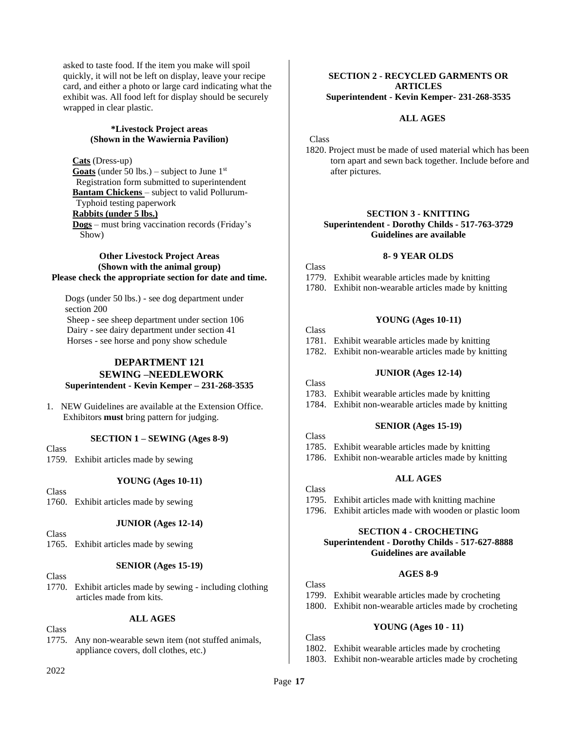asked to taste food. If the item you make will spoil quickly, it will not be left on display, leave your recipe card, and either a photo or large card indicating what the exhibit was. All food left for display should be securely wrapped in clear plastic.

### **\*Livestock Project areas (Shown in the Wawiernia Pavilion)**

# **Cats** (Dress-up)

Goats (under 50 lbs.) – subject to June 1<sup>st</sup> Registration form submitted to superintendent **Bantam Chickens** – subject to valid Pollurum- Typhoid testing paperwork **Rabbits (under 5 lbs.) Dogs** – must bring vaccination records (Friday's Show)

### **Other Livestock Project Areas (Shown with the animal group) Please check the appropriate section for date and time.**

 Dogs (under 50 lbs.) - see dog department under section 200 Sheep - see sheep department under section 106 Dairy - see dairy department under section 41 Horses - see horse and pony show schedule

# **DEPARTMENT 121 SEWING –NEEDLEWORK Superintendent - Kevin Kemper – 231-268-3535**

1. NEW Guidelines are available at the Extension Office. Exhibitors **must** bring pattern for judging.

### **SECTION 1 – SEWING (Ages 8-9)**

Class

1759. Exhibit articles made by sewing

### **YOUNG (Ages 10-11)**

**Class** 

1760. Exhibit articles made by sewing

# **JUNIOR (Ages 12-14)**

Class

1765. Exhibit articles made by sewing

# **SENIOR (Ages 15-19)**

Class

1770. Exhibit articles made by sewing - including clothing articles made from kits.

# **ALL AGES**

Class

1775. Any non-wearable sewn item (not stuffed animals, appliance covers, doll clothes, etc.)

# **SECTION 2 - RECYCLED GARMENTS OR ARTICLES Superintendent - Kevin Kemper- 231-268-3535**

### **ALL AGES**

#### Class

1820. Project must be made of used material which has been torn apart and sewn back together. Include before and after pictures.

# **SECTION 3 - KNITTING**

**Superintendent - Dorothy Childs - 517-763-3729 Guidelines are available**

### **8- 9 YEAR OLDS**

Class 1779. Exhibit wearable articles made by knitting 1780. Exhibit non-wearable articles made by knitting

### **YOUNG (Ages 10-11)**

Class 1781. Exhibit wearable articles made by knitting 1782. Exhibit non-wearable articles made by knitting

### **JUNIOR (Ages 12-14)**

### Class

1783. Exhibit wearable articles made by knitting

1784. Exhibit non-wearable articles made by knitting

### **SENIOR (Ages 15-19)**

- Class 1785. Exhibit wearable articles made by knitting
- 1786. Exhibit non-wearable articles made by knitting

### **ALL AGES**

- Class
- 1795. Exhibit articles made with knitting machine
- 1796. Exhibit articles made with wooden or plastic loom

#### **SECTION 4 - CROCHETING Superintendent - Dorothy Childs - 517-627-8888 Guidelines are available**

### **AGES 8-9**

Class 1799. Exhibit wearable articles made by crocheting 1800. Exhibit non-wearable articles made by crocheting

# **YOUNG (Ages 10 - 11)**

Class 1802. Exhibit wearable articles made by crocheting 1803. Exhibit non-wearable articles made by crocheting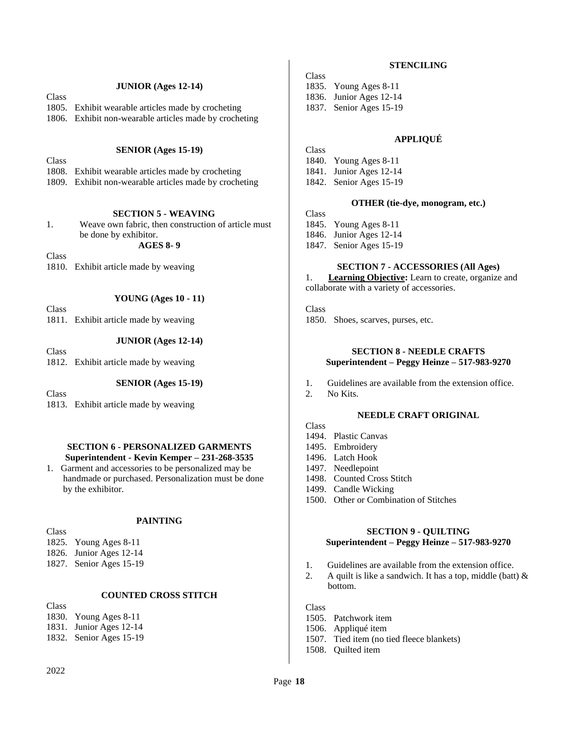### **JUNIOR (Ages 12-14)**

Class 1805. Exhibit wearable articles made by crocheting

1806. Exhibit non-wearable articles made by crocheting

### **SENIOR (Ages 15-19)**

Class

1808. Exhibit wearable articles made by crocheting

1809. Exhibit non-wearable articles made by crocheting

### **SECTION 5 - WEAVING**

1. Weave own fabric, then construction of article must be done by exhibitor.

**AGES 8- 9**

**Class** 

1810. Exhibit article made by weaving

### **YOUNG (Ages 10 - 11)**

Class

1811. Exhibit article made by weaving

# **JUNIOR (Ages 12-14)**

Class 1812. Exhibit article made by weaving

### **SENIOR (Ages 15-19)**

Class

1813. Exhibit article made by weaving

### **SECTION 6 - PERSONALIZED GARMENTS Superintendent - Kevin Kemper – 231-268-3535**

1. Garment and accessories to be personalized may be handmade or purchased. Personalization must be done by the exhibitor.

### **PAINTING**

Class 1825. Young Ages 8-11 1826. Junior Ages 12-14 1827. Senior Ages 15-19

### **COUNTED CROSS STITCH**

**Class** 1830. Young Ages 8-11 1831. Junior Ages 12-14 1832. Senior Ages 15-19

# **STENCILING**

Class 1835. Young Ages 8-11 1836. Junior Ages 12-14 1837. Senior Ages 15-19

# **APPLIQUÉ**

Class 1840. Young Ages 8-11 1841. Junior Ages 12-14 1842. Senior Ages 15-19

# **OTHER (tie-dye, monogram, etc.)**

Class 1845. Young Ages 8-11 1846. Junior Ages 12-14

- 
- 1847. Senior Ages 15-19

### **SECTION 7 - ACCESSORIES (All Ages)**

1. **Learning Objective:** Learn to create, organize and collaborate with a variety of accessories.

Class

1850. Shoes, scarves, purses, etc.

### **SECTION 8 - NEEDLE CRAFTS Superintendent – Peggy Heinze – 517-983-9270**

- 1. Guidelines are available from the extension office.
- 2. No Kits.

### **NEEDLE CRAFT ORIGINAL**

- Class
- 1494. Plastic Canvas
- 1495. Embroidery
- 1496. Latch Hook
- 1497. Needlepoint
- 1498. Counted Cross Stitch
- 1499. Candle Wicking
- 1500. Other or Combination of Stitches

### **SECTION 9 - QUILTING Superintendent – Peggy Heinze – 517-983-9270**

- 1. Guidelines are available from the extension office.
- 2. A quilt is like a sandwich. It has a top, middle (batt)  $\&$ bottom.

- 1505. Patchwork item
- 1506. Appliqué item
- 1507. Tied item (no tied fleece blankets)
- 1508. Quilted item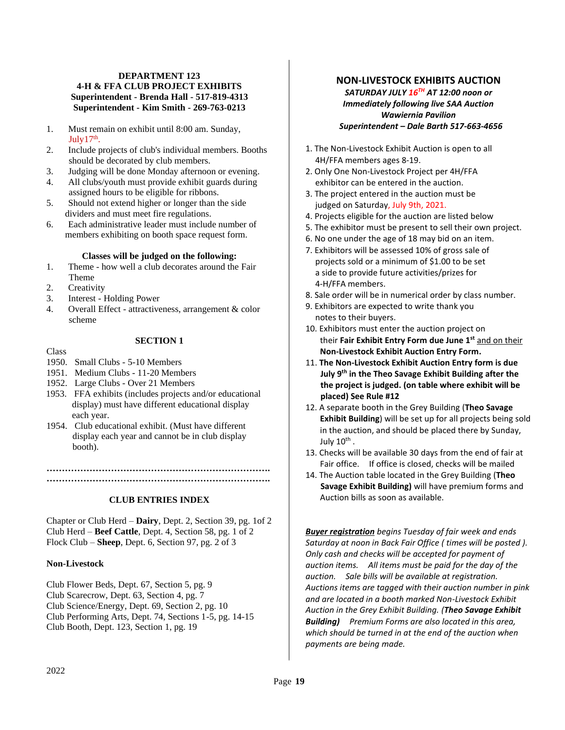# **DEPARTMENT 123 4-H & FFA CLUB PROJECT EXHIBITS Superintendent - Brenda Hall - 517-819-4313 Superintendent - Kim Smith - 269-763-0213**

- 1. Must remain on exhibit until 8:00 am. Sunday, July  $17<sup>th</sup>$ .
- 2. Include projects of club's individual members. Booths should be decorated by club members.
- 3. Judging will be done Monday afternoon or evening.
- 4. All clubs/youth must provide exhibit guards during assigned hours to be eligible for ribbons.
- 5. Should not extend higher or longer than the side dividers and must meet fire regulations.
- 6. Each administrative leader must include number of members exhibiting on booth space request form.

### **Classes will be judged on the following:**

- 1. Theme how well a club decorates around the Fair Theme
- 2. Creativity
- 3. Interest Holding Power
- 4. Overall Effect attractiveness, arrangement & color scheme

### **SECTION 1**

### Class

# 1950. Small Clubs - 5-10 Members

- 1951. Medium Clubs 11-20 Members
- 1952. Large Clubs Over 21 Members
- 1953. FFA exhibits (includes projects and/or educational display) must have different educational display each year.
- 1954. Club educational exhibit. (Must have different display each year and cannot be in club display booth).

**………………………………………………………………. ……………………………………………………………….**

### **CLUB ENTRIES INDEX**

Chapter or Club Herd – **Dairy**, Dept. 2, Section 39, pg. 1of 2 Club Herd – **Beef Cattle**, Dept. 4, Section 58, pg. 1 of 2 Flock Club – **Sheep**, Dept. 6, Section 97, pg. 2 of 3

### **Non-Livestock**

Club Flower Beds, Dept. 67, Section 5, pg. 9 Club Scarecrow, Dept. 63, Section 4, pg. 7 Club Science/Energy, Dept. 69, Section 2, pg. 10 Club Performing Arts, Dept. 74, Sections 1-5, pg. 14-15 Club Booth, Dept. 123, Section 1, pg. 19

# **NON-LIVESTOCK EXHIBITS AUCTION**

*SATURDAY JULY 16TH AT 12:00 noon or Immediately following live SAA Auction Wawiernia Pavilion Superintendent – Dale Barth 517-663-4656*

- 1. The Non-Livestock Exhibit Auction is open to all 4H/FFA members ages 8-19.
- 2. Only One Non-Livestock Project per 4H/FFA exhibitor can be entered in the auction.
- 3. The project entered in the auction must be judged on Saturday, July 9th, 2021.
- 4. Projects eligible for the auction are listed below
- 5. The exhibitor must be present to sell their own project.
- 6. No one under the age of 18 may bid on an item.
- 7. Exhibitors will be assessed 10% of gross sale of projects sold or a minimum of \$1.00 to be set a side to provide future activities/prizes for 4-H/FFA members.
- 8. Sale order will be in numerical order by class number.
- 9. Exhibitors are expected to write thank you notes to their buyers.
- 10. Exhibitors must enter the auction project on their **Fair Exhibit Entry Form due June 1st** and on their **Non-Livestock Exhibit Auction Entry Form.**
- 11. **The Non-Livestock Exhibit Auction Entry form is due July 9 th in the Theo Savage Exhibit Building after the the project is judged. (on table where exhibit will be placed) See Rule #12**
- 12. A separate booth in the Grey Building (**Theo Savage Exhibit Building**) will be set up for all projects being sold in the auction, and should be placed there by Sunday, July 10<sup>th</sup> .
- 13. Checks will be available 30 days from the end of fair at Fair office. If office is closed, checks will be mailed
- 14. The Auction table located in the Grey Building (**Theo Savage Exhibit Building)** will have premium forms and Auction bills as soon as available.

*Buyer registration begins Tuesday of fair week and ends Saturday at noon in Back Fair Office ( times will be posted ). Only cash and checks will be accepted for payment of auction items. All items must be paid for the day of the auction. Sale bills will be available at registration. Auctions items are tagged with their auction number in pink and are located in a booth marked Non-Livestock Exhibit Auction in the Grey Exhibit Building. (Theo Savage Exhibit Building) Premium Forms are also located in this area, which should be turned in at the end of the auction when payments are being made.*